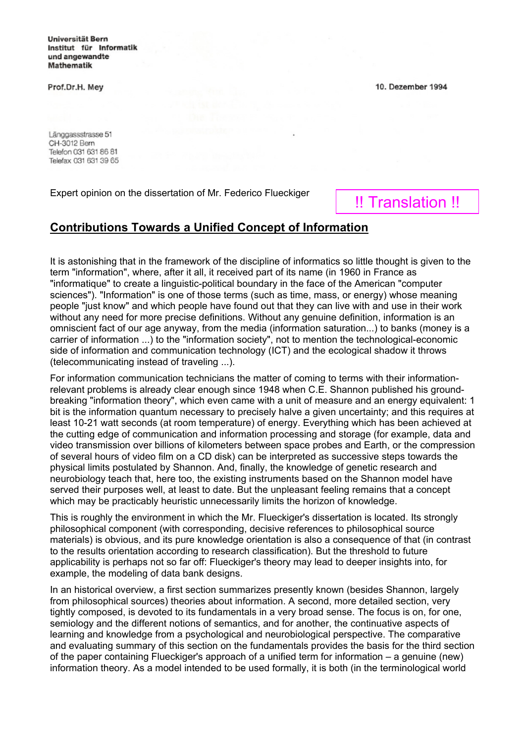Universität Bern Institut für Informatik und angewandte **Mathematik** 

Prof.Dr.H. Mey

Länggassstrasse 51 CH-3012 Bern Telefon 031 631 86 81 Telefax 031 631 39 65

Expert opinion on the dissertation of Mr. Federico Flueckiger

## 10. Dezember 1994

## !! Translation !!

## **Contributions Towards a Unified Concept of Information**

It is astonishing that in the framework of the discipline of informatics so little thought is given to the term "information", where, after it all, it received part of its name (in 1960 in France as "informatique" to create a linguistic-political boundary in the face of the American "computer sciences"). "Information" is one of those terms (such as time, mass, or energy) whose meaning people "just know" and which people have found out that they can live with and use in their work without any need for more precise definitions. Without any genuine definition, information is an omniscient fact of our age anyway, from the media (information saturation...) to banks (money is a carrier of information ...) to the "information society", not to mention the technological-economic side of information and communication technology (ICT) and the ecological shadow it throws (telecommunicating instead of traveling ...).

For information communication technicians the matter of coming to terms with their informationrelevant problems is already clear enough since 1948 when C.E. Shannon published his groundbreaking "information theory", which even came with a unit of measure and an energy equivalent: 1 bit is the information quantum necessary to precisely halve a given uncertainty; and this requires at least 10-21 watt seconds (at room temperature) of energy. Everything which has been achieved at the cutting edge of communication and information processing and storage (for example, data and video transmission over billions of kilometers between space probes and Earth, or the compression of several hours of video film on a CD disk) can be interpreted as successive steps towards the physical limits postulated by Shannon. And, finally, the knowledge of genetic research and neurobiology teach that, here too, the existing instruments based on the Shannon model have served their purposes well, at least to date. But the unpleasant feeling remains that a concept which may be practicably heuristic unnecessarily limits the horizon of knowledge.

This is roughly the environment in which the Mr. Flueckiger's dissertation is located. Its strongly philosophical component (with corresponding, decisive references to philosophical source materials) is obvious, and its pure knowledge orientation is also a consequence of that (in contrast to the results orientation according to research classification). But the threshold to future applicability is perhaps not so far off: Flueckiger's theory may lead to deeper insights into, for example, the modeling of data bank designs.

In an historical overview, a first section summarizes presently known (besides Shannon, largely from philosophical sources) theories about information. A second, more detailed section, very tightly composed, is devoted to its fundamentals in a very broad sense. The focus is on, for one, semiology and the different notions of semantics, and for another, the continuative aspects of learning and knowledge from a psychological and neurobiological perspective. The comparative and evaluating summary of this section on the fundamentals provides the basis for the third section of the paper containing Flueckiger's approach of a unified term for information – a genuine (new) information theory. As a model intended to be used formally, it is both (in the terminological world